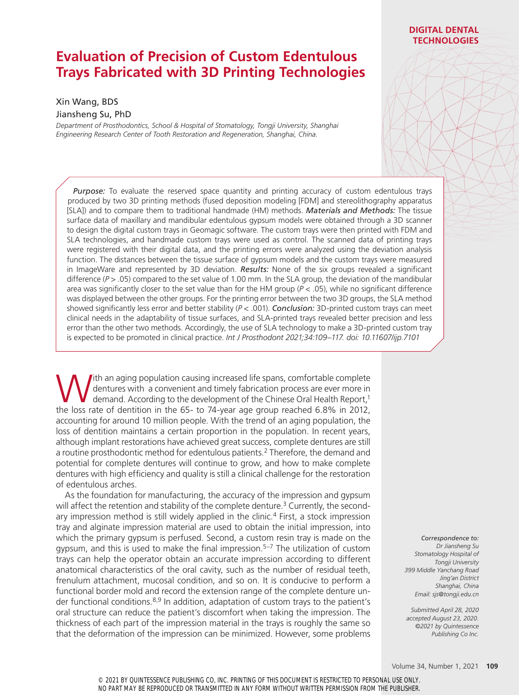# **Evaluation of Precision of Custom Edentulous Trays Fabricated with 3D Printing Technologies**

# Xin Wang, BDS

#### Jiansheng Su, PhD

*Department of Prosthodontics, School & Hospital of Stomatology, Tongji University, Shanghai Engineering Research Center of Tooth Restoration and Regeneration, Shanghai, China.*

## *Purpose:* To evaluate the reserved space quantity and printing accuracy of custom edentulous trays produced by two 3D printing methods (fused deposition modeling [FDM] and stereolithography apparatus [SLA]) and to compare them to traditional handmade (HM) methods. *Materials and Methods:* The tissue surface data of maxillary and mandibular edentulous gypsum models were obtained through a 3D scanner to design the digital custom trays in Geomagic software. The custom trays were then printed with FDM and SLA technologies, and handmade custom trays were used as control. The scanned data of printing trays were registered with their digital data, and the printing errors were analyzed using the deviation analysis function. The distances between the tissue surface of gypsum models and the custom trays were measured in ImageWare and represented by 3D deviation. *Results:* None of the six groups revealed a significant difference (*P* > .05) compared to the set value of 1.00 mm. In the SLA group, the deviation of the mandibular area was significantly closer to the set value than for the HM group ( $P < .05$ ), while no significant difference was displayed between the other groups. For the printing error between the two 3D groups, the SLA method showed significantly less error and better stability (*P* < .001). *Conclusion:* 3D-printed custom trays can meet clinical needs in the adaptability of tissue surfaces, and SLA-printed trays revealed better precision and less error than the other two methods. Accordingly, the use of SLA technology to make a 3D-printed custom tray is expected to be promoted in clinical practice. *Int J Prosthodont 2021;34:109–117. doi: 10.11607/ijp.7101*

Ith an aging population causing increased life spans, comfortable complete dentures with a convenient and timely fabrication process are ever more in demand. According to the development of the Chinese Oral Health Report,1 the loss rate of dentition in the 65- to 74-year age group reached 6.8% in 2012, accounting for around 10 million people. With the trend of an aging population, the loss of dentition maintains a certain proportion in the population. In recent years, although implant restorations have achieved great success, complete dentures are still a routine prosthodontic method for edentulous patients.2 Therefore, the demand and potential for complete dentures will continue to grow, and how to make complete dentures with high efficiency and quality is still a clinical challenge for the restoration of edentulous arches.

As the foundation for manufacturing, the accuracy of the impression and gypsum will affect the retention and stability of the complete denture.<sup>3</sup> Currently, the secondary impression method is still widely applied in the clinic.<sup>4</sup> First, a stock impression tray and alginate impression material are used to obtain the initial impression, into which the primary gypsum is perfused. Second, a custom resin tray is made on the gypsum, and this is used to make the final impression.<sup>5–7</sup> The utilization of custom trays can help the operator obtain an accurate impression according to different anatomical characteristics of the oral cavity, such as the number of residual teeth, frenulum attachment, mucosal condition, and so on. It is conducive to perform a functional border mold and record the extension range of the complete denture under functional conditions.  $8,9$  In addition, adaptation of custom trays to the patient's oral structure can reduce the patient's discomfort when taking the impression. The thickness of each part of the impression material in the trays is roughly the same so that the deformation of the impression can be minimized. However, some problems

*Correspondence to: Dr Jiansheng Su Stomatology Hospital of Tongji University 399 Middle Yanchang Road Jing'an District Shanghai, China Email: sjs@tongji.edu.cn*

*Submitted April 28, 2020 accepted August 23, 2020. ©2021 by Quintessence Publishing Co Inc.* 

# **DIGITAL DENTAL TECHNOLOGIES**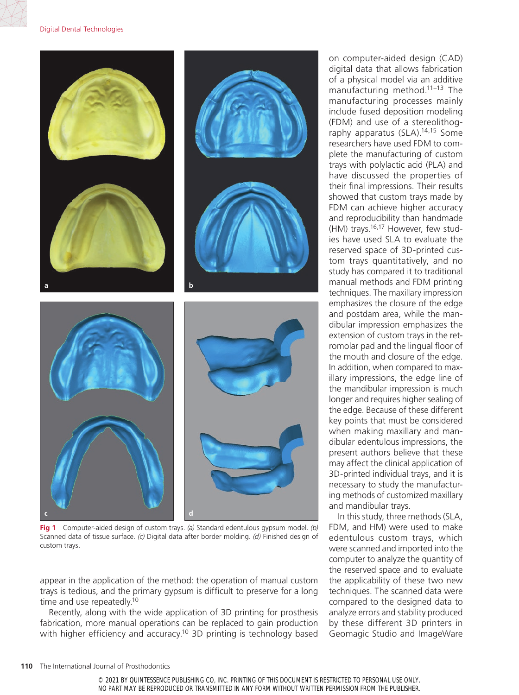#### Digital Dental Technologies



**Fig 1** Computer-aided design of custom trays. *(a)* Standard edentulous gypsum model. *(b)* Scanned data of tissue surface. *(c)* Digital data after border molding. *(d)* Finished design of custom trays.

appear in the application of the method: the operation of manual custom trays is tedious, and the primary gypsum is difficult to preserve for a long time and use repeatedly.<sup>10</sup>

Recently, along with the wide application of 3D printing for prosthesis fabrication, more manual operations can be replaced to gain production with higher efficiency and accuracy.<sup>10</sup> 3D printing is technology based on computer-aided design (CAD) digital data that allows fabrication of a physical model via an additive manufacturing method.<sup>11–13</sup> The manufacturing processes mainly include fused deposition modeling (FDM) and use of a stereolithography apparatus (SLA).14,15 Some researchers have used FDM to complete the manufacturing of custom trays with polylactic acid (PLA) and have discussed the properties of their final impressions. Their results showed that custom trays made by FDM can achieve higher accuracy and reproducibility than handmade (HM) trays.16,17 However, few studies have used SLA to evaluate the reserved space of 3D-printed custom trays quantitatively, and no study has compared it to traditional manual methods and FDM printing techniques. The maxillary impression emphasizes the closure of the edge and postdam area, while the mandibular impression emphasizes the extension of custom trays in the retromolar pad and the lingual floor of the mouth and closure of the edge. In addition, when compared to maxillary impressions, the edge line of the mandibular impression is much longer and requires higher sealing of the edge. Because of these different key points that must be considered when making maxillary and mandibular edentulous impressions, the present authors believe that these may affect the clinical application of 3D-printed individual trays, and it is necessary to study the manufacturing methods of customized maxillary and mandibular trays.

In this study, three methods (SLA, FDM, and HM) were used to make edentulous custom trays, which were scanned and imported into the computer to analyze the quantity of the reserved space and to evaluate the applicability of these two new techniques. The scanned data were compared to the designed data to analyze errors and stability produced by these different 3D printers in Geomagic Studio and ImageWare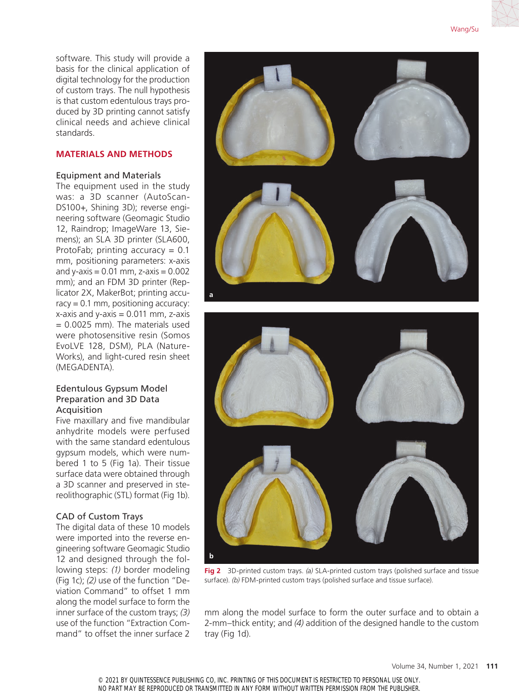software. This study will provide a basis for the clinical application of digital technology for the production of custom trays. The null hypothesis is that custom edentulous trays produced by 3D printing cannot satisfy clinical needs and achieve clinical standards.

# **MATERIALS AND METHODS**

# Equipment and Materials

The equipment used in the study was: a 3D scanner (AutoScan-DS100+, Shining 3D); reverse engineering software (Geomagic Studio 12, Raindrop; ImageWare 13, Siemens); an SLA 3D printer (SLA600, ProtoFab; printing accuracy =  $0.1$ mm, positioning parameters: x-axis and  $y$ -axis = 0.01 mm,  $z$ -axis = 0.002 mm); and an FDM 3D printer (Replicator 2X, MakerBot; printing accuracy  $= 0.1$  mm, positioning accuracy:  $x$ -axis and  $y$ -axis = 0.011 mm,  $z$ -axis = 0.0025 mm). The materials used were photosensitive resin (Somos EvoLVE 128, DSM), PLA (Nature-Works), and light-cured resin sheet (MEGADENTA).

# Edentulous Gypsum Model Preparation and 3D Data Acquisition

Five maxillary and five mandibular anhydrite models were perfused with the same standard edentulous gypsum models, which were numbered 1 to 5 (Fig 1a). Their tissue surface data were obtained through a 3D scanner and preserved in stereolithographic (STL) format (Fig 1b).

# CAD of Custom Trays

The digital data of these 10 models were imported into the reverse engineering software Geomagic Studio 12 and designed through the following steps: *(1)* border modeling (Fig 1c); *(2)* use of the function "Deviation Command" to offset 1 mm along the model surface to form the inner surface of the custom trays; *(3)* use of the function "Extraction Command" to offset the inner surface 2



**Fig 2** 3D-printed custom trays. *(a)* SLA-printed custom trays (polished surface and tissue surface). *(b)* FDM-printed custom trays (polished surface and tissue surface).

mm along the model surface to form the outer surface and to obtain a 2-mm–thick entity; and *(4)* addition of the designed handle to the custom tray (Fig 1d).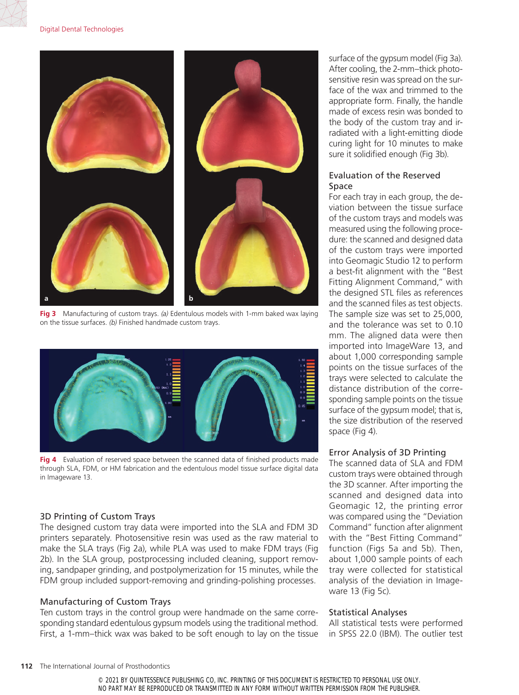#### Digital Dental Technologies



**Fig 3** Manufacturing of custom trays. *(a)* Edentulous models with 1-mm baked wax laying on the tissue surfaces. *(b)* Finished handmade custom trays.



**Fig 4** Evaluation of reserved space between the scanned data of finished products made through SLA, FDM, or HM fabrication and the edentulous model tissue surface digital data in Imageware 13.

## 3D Printing of Custom Trays

The designed custom tray data were imported into the SLA and FDM 3D printers separately. Photosensitive resin was used as the raw material to make the SLA trays (Fig 2a), while PLA was used to make FDM trays (Fig 2b). In the SLA group, postprocessing included cleaning, support removing, sandpaper grinding, and postpolymerization for 15 minutes, while the FDM group included support-removing and grinding-polishing processes.

# Manufacturing of Custom Trays

Ten custom trays in the control group were handmade on the same corresponding standard edentulous gypsum models using the traditional method. First, a 1-mm–thick wax was baked to be soft enough to lay on the tissue surface of the gypsum model (Fig 3a). After cooling, the 2-mm–thick photosensitive resin was spread on the surface of the wax and trimmed to the appropriate form. Finally, the handle made of excess resin was bonded to the body of the custom tray and irradiated with a light-emitting diode curing light for 10 minutes to make sure it solidified enough (Fig 3b).

# Evaluation of the Reserved Space

For each tray in each group, the deviation between the tissue surface of the custom trays and models was measured using the following procedure: the scanned and designed data of the custom trays were imported into Geomagic Studio 12 to perform a best-fit alignment with the "Best Fitting Alignment Command," with the designed STL files as references and the scanned files as test objects. The sample size was set to 25,000, and the tolerance was set to 0.10 mm. The aligned data were then imported into ImageWare 13, and about 1,000 corresponding sample points on the tissue surfaces of the trays were selected to calculate the distance distribution of the corresponding sample points on the tissue surface of the gypsum model; that is, the size distribution of the reserved space (Fig 4).

## Error Analysis of 3D Printing

The scanned data of SLA and FDM custom trays were obtained through the 3D scanner. After importing the scanned and designed data into Geomagic 12, the printing error was compared using the "Deviation Command" function after alignment with the "Best Fitting Command" function (Figs 5a and 5b). Then, about 1,000 sample points of each tray were collected for statistical analysis of the deviation in Imageware 13 (Fig 5c).

#### Statistical Analyses

All statistical tests were performed in SPSS 22.0 (IBM). The outlier test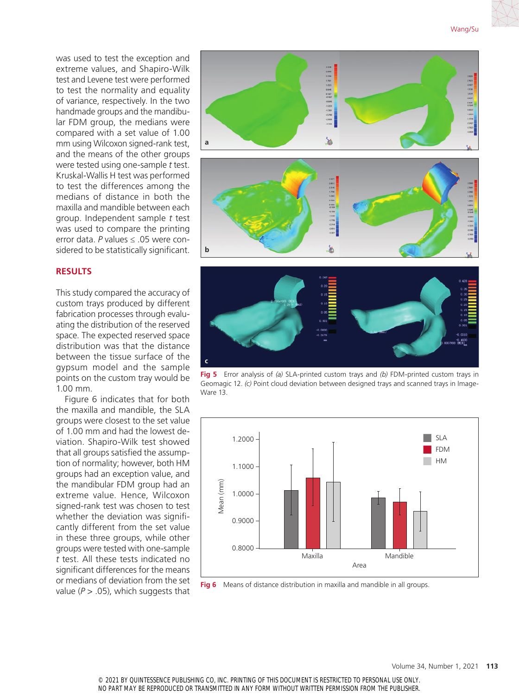was used to test the exception and extreme values, and Shapiro-Wilk test and Levene test were performed to test the normality and equality of variance, respectively. In the two handmade groups and the mandibular FDM group, the medians were compared with a set value of 1.00 mm using Wilcoxon signed-rank test, and the means of the other groups were tested using one-sample *t* test. Kruskal-Wallis H test was performed to test the differences among the medians of distance in both the maxilla and mandible between each group. Independent sample *t* test was used to compare the printing error data. *P* values ≤ .05 were considered to be statistically significant.

## **RESULTS**

This study compared the accuracy of custom trays produced by different fabrication processes through evaluating the distribution of the reserved space. The expected reserved space distribution was that the distance between the tissue surface of the gypsum model and the sample points on the custom tray would be 1.00 mm.

Figure 6 indicates that for both the maxilla and mandible, the SLA groups were closest to the set value of 1.00 mm and had the lowest deviation. Shapiro-Wilk test showed that all groups satisfied the assumption of normality; however, both HM groups had an exception value, and the mandibular FDM group had an extreme value. Hence, Wilcoxon signed-rank test was chosen to test whether the deviation was significantly different from the set value in these three groups, while other groups were tested with one-sample *t* test. All these tests indicated no significant differences for the means or medians of deviation from the set value  $(P > .05)$ , which suggests that



**Fig 5** Error analysis of *(a)* SLA-printed custom trays and *(b)* FDM-printed custom trays in Geomagic 12. *(c)* Point cloud deviation between designed trays and scanned trays in Image-Ware 13.



**Fig 6** Means of distance distribution in maxilla and mandible in all groups.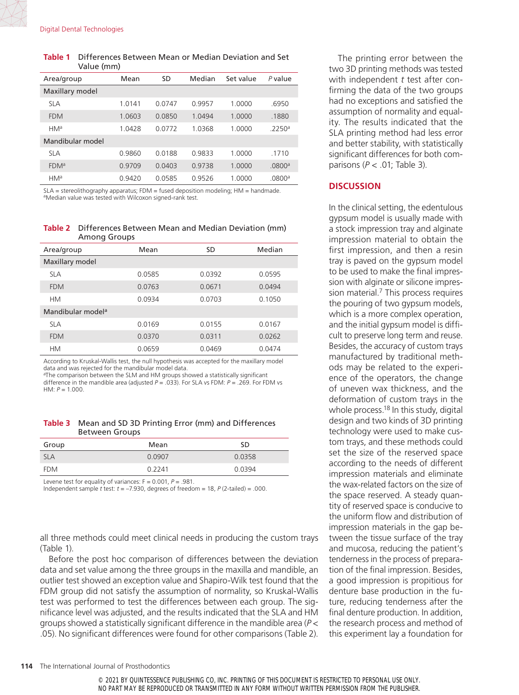#### **Table 1** Differences Between Mean or Median Deviation and Set Value (mm)

| Area/group             | Mean      | SD     | Median | Set value | P value            |
|------------------------|-----------|--------|--------|-----------|--------------------|
| Maxillary model        |           |        |        |           |                    |
| <b>SLA</b>             | 1 0 1 4 1 | 0.0747 | 09957  | 1.0000    | .6950              |
| <b>FDM</b>             | 1.0603    | 0.0850 | 1.0494 | 1.0000    | .1880              |
| HM <sup>a</sup>        | 1.0428    | 0.0772 | 1.0368 | 1.0000    | .2250a             |
| Mandibular model       |           |        |        |           |                    |
| <b>SLA</b>             | 0.9860    | 0.0188 | 0.9833 | 1.0000    | .1710              |
| <b>FDM<sup>a</sup></b> | 0.9709    | 0.0403 | 0.9738 | 1.0000    | .0800 <sup>a</sup> |
| HM <sup>a</sup>        | 0.9420    | 0.0585 | 0.9526 | 1.0000    | .0800 <sup>a</sup> |

SLA = stereolithography apparatus; FDM = fused deposition modeling; HM = handmade. aMedian value was tested with Wilcoxon signed-rank test.

**Table 2** Differences Between Mean and Median Deviation (mm) Among Groups

| Area/group                    | Mean   | <b>SD</b> | Median |
|-------------------------------|--------|-----------|--------|
| Maxillary model               |        |           |        |
| <b>SLA</b>                    | 0.0585 | 0.0392    | 0.0595 |
| <b>FDM</b>                    | 0.0763 | 0.0671    | 0.0494 |
| <b>HM</b>                     | 0.0934 | 0.0703    | 0.1050 |
| Mandibular model <sup>a</sup> |        |           |        |
| <b>SLA</b>                    | 0.0169 | 0.0155    | 0.0167 |
| <b>FDM</b>                    | 0.0370 | 0.0311    | 0.0262 |
| <b>HM</b>                     | 0.0659 | 0.0469    | 0.0474 |

According to Kruskal-Wallis test, the null hypothesis was accepted for the maxillary model data and was rejected for the mandibular model data.

<sup>a</sup>The comparison between the SLM and HM groups showed a statistically significant difference in the mandible area (adjusted *P* = .033). For SLA vs FDM: *P* = .269. For FDM vs HM: *P* = 1.000.

**Table 3** Mean and SD 3D Printing Error (mm) and Differences Between Groups

| Group      | Mean   | SD     |
|------------|--------|--------|
| <b>SLA</b> | 0.0907 | 0.0358 |
| <b>FDM</b> | 0.2241 | 0.0394 |

Levene test for equality of variances: F = 0.001, *P* = .981.

Independent sample  $t$  test:  $t = -7.930$ , degrees of freedom = 18,  $P$  (2-tailed) = .000.

all three methods could meet clinical needs in producing the custom trays (Table 1).

Before the post hoc comparison of differences between the deviation data and set value among the three groups in the maxilla and mandible, an outlier test showed an exception value and Shapiro-Wilk test found that the FDM group did not satisfy the assumption of normality, so Kruskal-Wallis test was performed to test the differences between each group. The significance level was adjusted, and the results indicated that the SLA and HM groups showed a statistically significant difference in the mandible area (*P* < .05). No significant differences were found for other comparisons (Table 2).

The printing error between the two 3D printing methods was tested with independent *t* test after confirming the data of the two groups had no exceptions and satisfied the assumption of normality and equality. The results indicated that the SLA printing method had less error and better stability, with statistically significant differences for both comparisons (*P* < .01; Table 3).

# **DISCUSSION**

In the clinical setting, the edentulous gypsum model is usually made with a stock impression tray and alginate impression material to obtain the first impression, and then a resin tray is paved on the gypsum model to be used to make the final impression with alginate or silicone impression material.<sup>7</sup> This process requires the pouring of two gypsum models, which is a more complex operation, and the initial gypsum model is difficult to preserve long term and reuse. Besides, the accuracy of custom trays manufactured by traditional methods may be related to the experience of the operators, the change of uneven wax thickness, and the deformation of custom trays in the whole process.<sup>18</sup> In this study, digital design and two kinds of 3D printing technology were used to make custom trays, and these methods could set the size of the reserved space according to the needs of different impression materials and eliminate the wax-related factors on the size of the space reserved. A steady quantity of reserved space is conducive to the uniform flow and distribution of impression materials in the gap between the tissue surface of the tray and mucosa, reducing the patient's tenderness in the process of preparation of the final impression. Besides, a good impression is propitious for denture base production in the future, reducing tenderness after the final denture production. In addition, the research process and method of this experiment lay a foundation for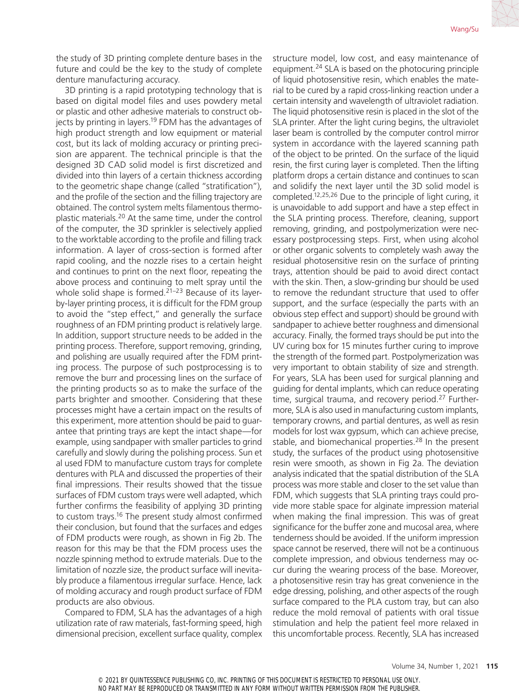the study of 3D printing complete denture bases in the future and could be the key to the study of complete denture manufacturing accuracy.

3D printing is a rapid prototyping technology that is based on digital model files and uses powdery metal or plastic and other adhesive materials to construct objects by printing in layers.<sup>19</sup> FDM has the advantages of high product strength and low equipment or material cost, but its lack of molding accuracy or printing precision are apparent. The technical principle is that the designed 3D CAD solid model is first discretized and divided into thin layers of a certain thickness according to the geometric shape change (called "stratification"), and the profile of the section and the filling trajectory are obtained. The control system melts filamentous thermoplastic materials.20 At the same time, under the control of the computer, the 3D sprinkler is selectively applied to the worktable according to the profile and filling track information. A layer of cross-section is formed after rapid cooling, and the nozzle rises to a certain height and continues to print on the next floor, repeating the above process and continuing to melt spray until the whole solid shape is formed.<sup>21–23</sup> Because of its layerby-layer printing process, it is difficult for the FDM group to avoid the "step effect," and generally the surface roughness of an FDM printing product is relatively large. In addition, support structure needs to be added in the printing process. Therefore, support removing, grinding, and polishing are usually required after the FDM printing process. The purpose of such postprocessing is to remove the burr and processing lines on the surface of the printing products so as to make the surface of the parts brighter and smoother. Considering that these processes might have a certain impact on the results of this experiment, more attention should be paid to guarantee that printing trays are kept the intact shape—for example, using sandpaper with smaller particles to grind carefully and slowly during the polishing process. Sun et al used FDM to manufacture custom trays for complete dentures with PLA and discussed the properties of their final impressions. Their results showed that the tissue surfaces of FDM custom trays were well adapted, which further confirms the feasibility of applying 3D printing to custom trays.16 The present study almost confirmed their conclusion, but found that the surfaces and edges of FDM products were rough, as shown in Fig 2b. The reason for this may be that the FDM process uses the nozzle spinning method to extrude materials. Due to the limitation of nozzle size, the product surface will inevitably produce a filamentous irregular surface. Hence, lack of molding accuracy and rough product surface of FDM products are also obvious.

Compared to FDM, SLA has the advantages of a high utilization rate of raw materials, fast-forming speed, high dimensional precision, excellent surface quality, complex structure model, low cost, and easy maintenance of equipment.24 SLA is based on the photocuring principle of liquid photosensitive resin, which enables the material to be cured by a rapid cross-linking reaction under a certain intensity and wavelength of ultraviolet radiation. The liquid photosensitive resin is placed in the slot of the SLA printer. After the light curing begins, the ultraviolet laser beam is controlled by the computer control mirror system in accordance with the layered scanning path of the object to be printed. On the surface of the liquid resin, the first curing layer is completed. Then the lifting platform drops a certain distance and continues to scan and solidify the next layer until the 3D solid model is completed.12,25,26 Due to the principle of light curing, it is unavoidable to add support and have a step effect in the SLA printing process. Therefore, cleaning, support removing, grinding, and postpolymerization were necessary postprocessing steps. First, when using alcohol or other organic solvents to completely wash away the residual photosensitive resin on the surface of printing trays, attention should be paid to avoid direct contact with the skin. Then, a slow-grinding bur should be used to remove the redundant structure that used to offer support, and the surface (especially the parts with an obvious step effect and support) should be ground with sandpaper to achieve better roughness and dimensional accuracy. Finally, the formed trays should be put into the UV curing box for 15 minutes further curing to improve the strength of the formed part. Postpolymerization was very important to obtain stability of size and strength. For years, SLA has been used for surgical planning and guiding for dental implants, which can reduce operating time, surgical trauma, and recovery period.<sup>27</sup> Furthermore, SLA is also used in manufacturing custom implants, temporary crowns, and partial dentures, as well as resin models for lost wax gypsum, which can achieve precise, stable, and biomechanical properties.<sup>28</sup> In the present study, the surfaces of the product using photosensitive resin were smooth, as shown in Fig 2a. The deviation analysis indicated that the spatial distribution of the SLA process was more stable and closer to the set value than FDM, which suggests that SLA printing trays could provide more stable space for alginate impression material when making the final impression. This was of great significance for the buffer zone and mucosal area, where tenderness should be avoided. If the uniform impression space cannot be reserved, there will not be a continuous complete impression, and obvious tenderness may occur during the wearing process of the base. Moreover, a photosensitive resin tray has great convenience in the edge dressing, polishing, and other aspects of the rough surface compared to the PLA custom tray, but can also reduce the mold removal of patients with oral tissue stimulation and help the patient feel more relaxed in this uncomfortable process. Recently, SLA has increased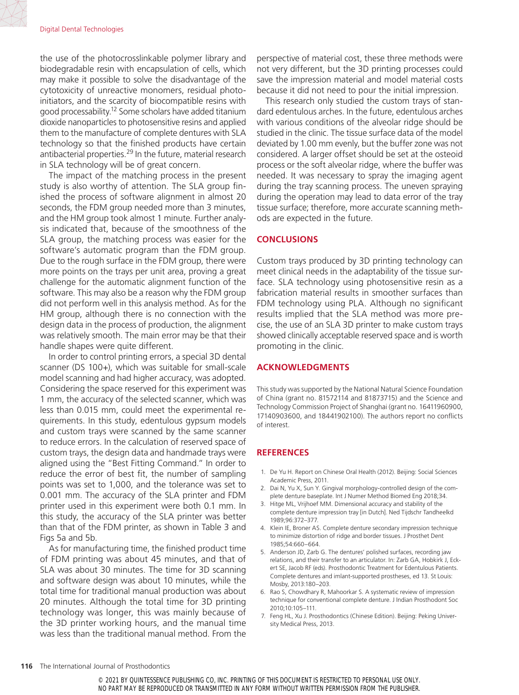the use of the photocrosslinkable polymer library and biodegradable resin with encapsulation of cells, which may make it possible to solve the disadvantage of the cytotoxicity of unreactive monomers, residual photoinitiators, and the scarcity of biocompatible resins with good processability.12 Some scholars have added titanium dioxide nanoparticles to photosensitive resins and applied them to the manufacture of complete dentures with SLA technology so that the finished products have certain antibacterial properties.<sup>29</sup> In the future, material research in SLA technology will be of great concern.

The impact of the matching process in the present study is also worthy of attention. The SLA group finished the process of software alignment in almost 20 seconds, the FDM group needed more than 3 minutes, and the HM group took almost 1 minute. Further analysis indicated that, because of the smoothness of the SLA group, the matching process was easier for the software's automatic program than the FDM group. Due to the rough surface in the FDM group, there were more points on the trays per unit area, proving a great challenge for the automatic alignment function of the software. This may also be a reason why the FDM group did not perform well in this analysis method. As for the HM group, although there is no connection with the design data in the process of production, the alignment was relatively smooth. The main error may be that their handle shapes were quite different.

In order to control printing errors, a special 3D dental scanner (DS 100+), which was suitable for small-scale model scanning and had higher accuracy, was adopted. Considering the space reserved for this experiment was 1 mm, the accuracy of the selected scanner, which was less than 0.015 mm, could meet the experimental requirements. In this study, edentulous gypsum models and custom trays were scanned by the same scanner to reduce errors. In the calculation of reserved space of custom trays, the design data and handmade trays were aligned using the "Best Fitting Command." In order to reduce the error of best fit, the number of sampling points was set to 1,000, and the tolerance was set to 0.001 mm. The accuracy of the SLA printer and FDM printer used in this experiment were both 0.1 mm. In this study, the accuracy of the SLA printer was better than that of the FDM printer, as shown in Table 3 and Figs 5a and 5b.

As for manufacturing time, the finished product time of FDM printing was about 45 minutes, and that of SLA was about 30 minutes. The time for 3D scanning and software design was about 10 minutes, while the total time for traditional manual production was about 20 minutes. Although the total time for 3D printing technology was longer, this was mainly because of the 3D printer working hours, and the manual time was less than the traditional manual method. From the perspective of material cost, these three methods were not very different, but the 3D printing processes could save the impression material and model material costs because it did not need to pour the initial impression.

This research only studied the custom trays of standard edentulous arches. In the future, edentulous arches with various conditions of the alveolar ridge should be studied in the clinic. The tissue surface data of the model deviated by 1.00 mm evenly, but the buffer zone was not considered. A larger offset should be set at the osteoid process or the soft alveolar ridge, where the buffer was needed. It was necessary to spray the imaging agent during the tray scanning process. The uneven spraying during the operation may lead to data error of the tray tissue surface; therefore, more accurate scanning methods are expected in the future.

### **CONCLUSIONS**

Custom trays produced by 3D printing technology can meet clinical needs in the adaptability of the tissue surface. SLA technology using photosensitive resin as a fabrication material results in smoother surfaces than FDM technology using PLA. Although no significant results implied that the SLA method was more precise, the use of an SLA 3D printer to make custom trays showed clinically acceptable reserved space and is worth promoting in the clinic.

#### **ACKNOWLEDGMENTS**

This study was supported by the National Natural Science Foundation of China (grant no. 81572114 and 81873715) and the Science and Technology Commission Project of Shanghai (grant no. 16411960900, 17140903600, and 18441902100). The authors report no conflicts of interest.

#### **REFERENCES**

- 1. De Yu H. Report on Chinese Oral Health (2012). Beijing: Social Sciences Academic Press, 2011.
- 2. Dai N, Yu X, Sun Y. Gingival morphology-controlled design of the complete denture baseplate. Int J Numer Method Biomed Eng 2018;34.
- 3. Hitge ML, Vrijhoef MM. Dimensional accuracy and stability of the complete denture impression tray [in Dutch]. Ned Tijdschr Tandheelkd 1989;96:372–377.
- 4. Klein IE, Broner AS. Complete denture secondary impression technique to minimize distortion of ridge and border tissues. J Prosthet Dent 1985;54:660–664.
- 5. Anderson JD, Zarb G. The dentures' polished surfaces, recording jaw relations, and their transfer to an articulator. In: Zarb GA, Hobkirk J, Eckert SE, Jacob RF (eds). Prosthodontic Treatment for Edentulous Patients. Complete dentures and imlant-supported prostheses, ed 13. St Louis: Mosby, 2013:180–203.
- 6. Rao S, Chowdhary R, Mahoorkar S. A systematic review of impression technique for conventional complete denture. J Indian Prosthodont Soc 2010;10:105–111.
- 7. Feng HL, Xu J. Prosthodontics (Chinese Edition). Beijing: Peking University Medical Press, 2013.